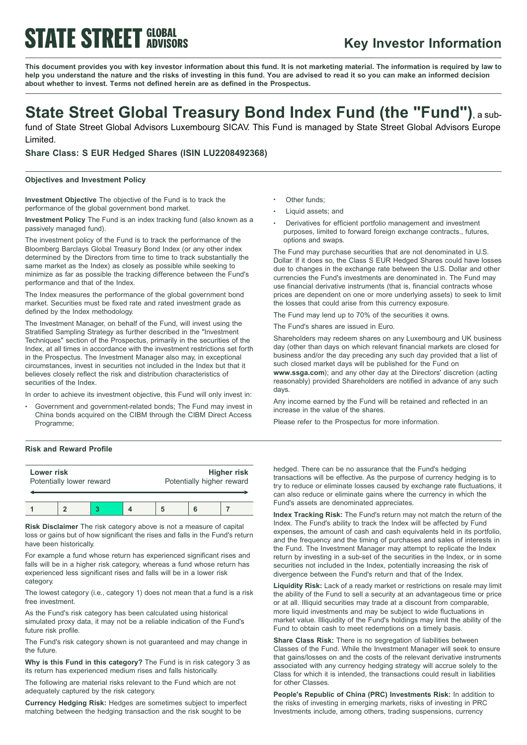# **STATE STREET GLOBAL**

### **Key Investor Information**

This document provides you with key investor information about this fund. It is not marketing material. The information is required by law to help you understand the nature and the risks of investing in this fund. You are advised to read it so you can make an informed decision **about whether to invest. Terms not defined herein are as defined in the Prospectus.**

## **State Street Global Treasury Bond Index Fund (the "Fund")**, <sup>a</sup> sub-

fund of State Street Global Advisors Luxembourg SICAV. This Fund is managed by State Street Global Advisors Europe Limited.

**Share Class: S EUR Hedged Shares (ISIN LU2208492368)**

### **Objectives and Investment Policy**

**Investment Objective** The objective of the Fund is to track the performance of the global government bond market.

**Investment Policy** The Fund is an index tracking fund (also known as a passively managed fund).

The investment policy of the Fund is to track the performance of the Bloomberg Barclays Global Treasury Bond Index (or any other index determined by the Directors from time to time to track substantially the same market as the Index) as closely as possible while seeking to minimize as far as possible the tracking difference between the Fund's performance and that of the Index.

The Index measures the performance of the global government bond market. Securities must be fixed rate and rated investment grade as defined by the Index methodology.

The Investment Manager, on behalf of the Fund, will invest using the Stratified Sampling Strategy as further described in the "Investment Techniques" section of the Prospectus, primarily in the securities of the Index, at all times in accordance with the investment restrictions set forth in the Prospectus. The Investment Manager also may, in exceptional circumstances, invest in securities not included in the Index but that it believes closely reflect the risk and distribution characteristics of securities of the Index.

In order to achieve its investment objective, this Fund will only invest in:

Government and government-related bonds; The Fund may invest in China bonds acquired on the CIBM through the CIBM Direct Access Programme;

- Other funds:
- <sup>b</sup> Liquid assets; and
- <sup>b</sup> Derivatives for efficient portfolio management and investment purposes, limited to forward foreign exchange contracts., futures, options and swaps.

The Fund may purchase securities that are not denominated in U.S. Dollar. If it does so, the Class S EUR Hedged Shares could have losses due to changes in the exchange rate between the U.S. Dollar and other currencies the Fund's investments are denominated in. The Fund may use financial derivative instruments (that is, financial contracts whose prices are dependent on one or more underlying assets) to seek to limit the losses that could arise from this currency exposure.

The Fund may lend up to 70% of the securities it owns.

The Fund's shares are issued in Euro.

Shareholders may redeem shares on any Luxembourg and UK business day (other than days on which relevant financial markets are closed for business and/or the day preceding any such day provided that a list of such closed market days will be published for the Fund on **www.ssga.com**); and any other day at the Directors' discretion (acting reasonably) provided Shareholders are notified in advance of any such days.

Any income earned by the Fund will be retained and reflected in an increase in the value of the shares.

Please refer to the Prospectus for more information.

### **Risk and Reward Profile**

| Lower risk<br>Potentially lower reward |  |  | <b>Higher risk</b><br>Potentially higher reward |  |  |
|----------------------------------------|--|--|-------------------------------------------------|--|--|
|                                        |  |  |                                                 |  |  |

**Risk Disclaimer** The risk category above is not a measure of capital loss or gains but of how significant the rises and falls in the Fund's return have been historically.

For example a fund whose return has experienced significant rises and falls will be in a higher risk category, whereas a fund whose return has experienced less significant rises and falls will be in a lower risk category.

The lowest category (i.e., category 1) does not mean that a fund is a risk free investment.

As the Fund's risk category has been calculated using historical simulated proxy data, it may not be a reliable indication of the Fund's future risk profile.

The Fund's risk category shown is not guaranteed and may change in the future.

**Why is this Fund in this category?** The Fund is in risk category 3 as its return has experienced medium rises and falls historically.

The following are material risks relevant to the Fund which are not adequately captured by the risk category.

**Currency Hedging Risk:** Hedges are sometimes subject to imperfect matching between the hedging transaction and the risk sought to be

hedged. There can be no assurance that the Fund's hedging transactions will be effective. As the purpose of currency hedging is to try to reduce or eliminate losses caused by exchange rate fluctuations, it can also reduce or eliminate gains where the currency in which the Fund's assets are denominated appreciates.

**Index Tracking Risk:** The Fund's return may not match the return of the Index. The Fund's ability to track the Index will be affected by Fund expenses, the amount of cash and cash equivalents held in its portfolio, and the frequency and the timing of purchases and sales of interests in the Fund. The Investment Manager may attempt to replicate the Index return by investing in a sub-set of the securities in the Index, or in some securities not included in the Index, potentially increasing the risk of divergence between the Fund's return and that of the Index.

**Liquidity Risk:** Lack of a ready market or restrictions on resale may limit the ability of the Fund to sell a security at an advantageous time or price or at all. Illiquid securities may trade at a discount from comparable, more liquid investments and may be subject to wide fluctuations in market value. Illiquidity of the Fund's holdings may limit the ability of the Fund to obtain cash to meet redemptions on a timely basis.

**Share Class Risk:** There is no segregation of liabilities between Classes of the Fund. While the Investment Manager will seek to ensure that gains/losses on and the costs of the relevant derivative instruments associated with any currency hedging strategy will accrue solely to the Class for which it is intended, the transactions could result in liabilities for other Classes.

**People's Republic of China (PRC) Investments Risk:** In addition to the risks of investing in emerging markets, risks of investing in PRC Investments include, among others, trading suspensions, currency